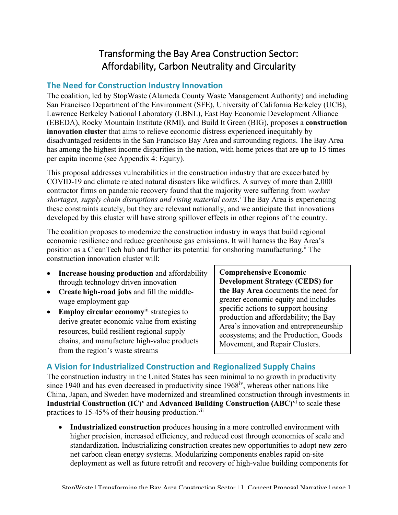# Transforming the Bay Area Construction Sector: Affordability, Carbon Neutrality and Circularity

# **The Need for Construction Industry Innovation**

The coalition, led by StopWaste (Alameda County Waste Management Authority) and including San Francisco Department of the Environment (SFE), University of California Berkeley (UCB), Lawrence Berkeley National Laboratory (LBNL), East Bay Economic Development Alliance (EBEDA), Rocky Mountain Institute (RMI), and Build It Green (BIG), proposes a **construction innovation cluster** that aims to relieve economic distress experienced inequitably by disadvantaged residents in the San Francisco Bay Area and surrounding regions. The Bay Area has among the highest income disparities in the nation, with home prices that are up to 15 times per capita income (see Appendix 4: Equity).

This proposal addresses vulnerabilities in the construction industry that are exacerbated by COVID-19 and climate related natural disasters like wildfires. A survey of more than 2,000 contractor firms on pandemic recovery found that the majority were suffering from *worker shortages, supply chain disruptions and rising material costs*. <sup>i</sup> The Bay Area is experiencing these constraints acutely, but they are relevant nationally, and we anticipate that innovations developed by this cluster will have strong spillover effects in other regions of the country.

The coalition proposes to modernize the construction industry in ways that build regional economic resilience and reduce greenhouse gas emissions. It will harness the Bay Area's position as a CleanTech hub and further its potential for onshoring manufacturing.<sup>ii</sup> The construction innovation cluster will:

- **Increase housing production** and affordability through technology driven innovation
- **Create high-road jobs** and fill the middlewage employment gap
- **Employ circular economy**iii strategies to derive greater economic value from existing resources, build resilient regional supply chains, and manufacture high-value products from the region's waste streams

**Comprehensive Economic Development Strategy (CEDS) for the Bay Area** documents the need for greater economic equity and includes specific actions to support housing production and affordability; the Bay Area's innovation and entrepreneurship ecosystems; and the Production, Goods Movement, and Repair Clusters.

# **A Vision for Industrialized Construction and Regionalized Supply Chains**

The construction industry in the United States has seen minimal to no growth in productivity since 1940 and has even decreased in productivity since  $1968<sup>iv</sup>$ , whereas other nations like China, Japan, and Sweden have modernized and streamlined construction through investments in **Industrial Construction (IC)v** and **Advanced Building Construction (ABC)vi** to scale these practices to 15-45% of their housing production.<sup>vii</sup>

• **Industrialized construction** produces housing in a more controlled environment with higher precision, increased efficiency, and reduced cost through economies of scale and standardization. Industrializing construction creates new opportunities to adopt new zero net carbon clean energy systems. Modularizing components enables rapid on-site deployment as well as future retrofit and recovery of high-value building components for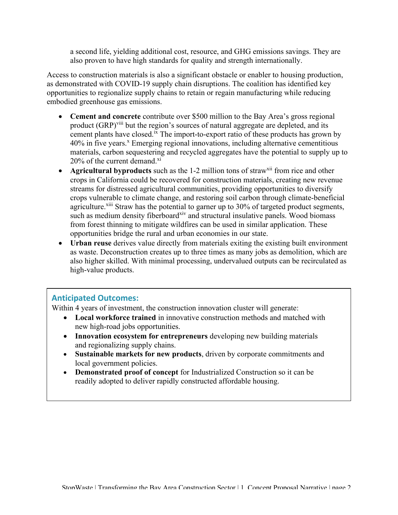a second life, yielding additional cost, resource, and GHG emissions savings. They are also proven to have high standards for quality and strength internationally.

Access to construction materials is also a significant obstacle or enabler to housing production, as demonstrated with COVID-19 supply chain disruptions. The coalition has identified key opportunities to regionalize supply chains to retain or regain manufacturing while reducing embodied greenhouse gas emissions.

- **Cement and concrete** contribute over \$500 million to the Bay Area's gross regional product (GRP)<sup>viii</sup> but the region's sources of natural aggregate are depleted, and its cement plants have closed.<sup>ix</sup> The import-to-export ratio of these products has grown by 40% in five years.<sup>x</sup> Emerging regional innovations, including alternative cementitious materials, carbon sequestering and recycled aggregates have the potential to supply up to  $20\%$  of the current demand.<sup>xi</sup>
- **Agricultural byproducts** such as the 1-2 million tons of straw<sup>xii</sup> from rice and other crops in California could be recovered for construction materials, creating new revenue streams for distressed agricultural communities, providing opportunities to diversify crops vulnerable to climate change, and restoring soil carbon through climate-beneficial agriculture.<sup>xiii</sup> Straw has the potential to garner up to 30% of targeted product segments, such as medium density fiberboard<sup>xiv</sup> and structural insulative panels. Wood biomass from forest thinning to mitigate wildfires can be used in similar application. These opportunities bridge the rural and urban economies in our state.
- **Urban reuse** derives value directly from materials exiting the existing built environment as waste. Deconstruction creates up to three times as many jobs as demolition, which are also higher skilled. With minimal processing, undervalued outputs can be recirculated as high-value products.

# **Anticipated Outcomes:**

Within 4 years of investment, the construction innovation cluster will generate:

- **Local workforce trained** in innovative construction methods and matched with new high-road jobs opportunities.
- **Innovation ecosystem for entrepreneurs** developing new building materials and regionalizing supply chains.
- **Sustainable markets for new products**, driven by corporate commitments and local government policies.
- **Demonstrated proof of concept** for Industrialized Construction so it can be readily adopted to deliver rapidly constructed affordable housing.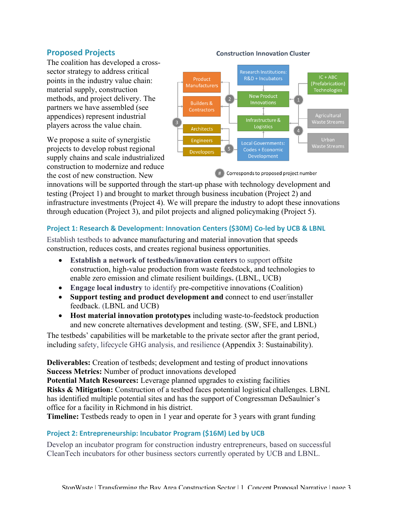# **Proposed Projects**

The coalition has developed a crosssector strategy to address critical points in the industry value chain: material supply, construction methods, and project delivery. The partners we have assembled (see appendices) represent industrial players across the value chain.

We propose a suite of synergistic projects to develop robust regional supply chains and scale industrialized construction to modernize and reduce the cost of new construction. New

#### **Construction Innovation Cluster**



Corresponds to proposed project number

innovations will be supported through the start-up phase with technology development and testing (Project 1) and brought to market through business incubation (Project 2) and infrastructure investments (Project 4). We will prepare the industry to adopt these innovations through education (Project 3), and pilot projects and aligned policymaking (Project 5).

#### **Project 1: Research & Development: Innovation Centers (\$30M) Co-led by UCB & LBNL**

Establish testbeds to advance manufacturing and material innovation that speeds construction, reduces costs, and creates regional business opportunities.

- **Establish a network of testbeds/innovation centers** to support offsite construction, high-value production from waste feedstock, and technologies to enable zero emission and climate resilient buildings**.** (LBNL, UCB)
- **Engage local industry** to identify pre-competitive innovations (Coalition)
- **Support testing and product development and** connect to end user/installer feedback. (LBNL and UCB)
- **Host material innovation prototypes** including waste-to-feedstock production and new concrete alternatives development and testing. (SW, SFE, and LBNL)

The testbeds' capabilities will be marketable to the private sector after the grant period, including safety, lifecycle GHG analysis, and resilience (Appendix 3: Sustainability).

**Deliverables:** Creation of testbeds; development and testing of product innovations **Success Metrics:** Number of product innovations developed

**Potential Match Resources:** Leverage planned upgrades to existing facilities **Risks & Mitigation:** Construction of a testbed faces potential logistical challenges. LBNL has identified multiple potential sites and has the support of Congressman DeSaulnier's office for a facility in Richmond in his district.

**Timeline:** Testbeds ready to open in 1 year and operate for 3 years with grant funding

#### **Project 2: Entrepreneurship: Incubator Program (\$16M) Led by UCB**

Develop an incubator program for construction industry entrepreneurs, based on successful CleanTech incubators for other business sectors currently operated by UCB and LBNL.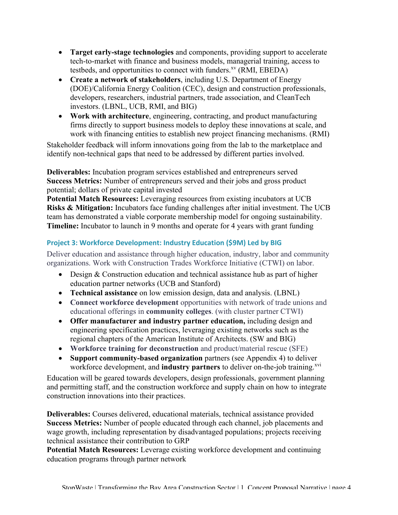- **Target early-stage technologies** and components, providing support to accelerate tech-to-market with finance and business models, managerial training, access to testbeds, and opportunities to connect with funders. $X<sup>x</sup>$  (RMI, EBEDA)
- **Create a network of stakeholders**, including U.S. Department of Energy (DOE)/California Energy Coalition (CEC), design and construction professionals, developers, researchers, industrial partners, trade association, and CleanTech investors. (LBNL, UCB, RMI, and BIG)
- **Work with architecture**, engineering, contracting, and product manufacturing firms directly to support business models to deploy these innovations at scale, and work with financing entities to establish new project financing mechanisms. (RMI)

Stakeholder feedback will inform innovations going from the lab to the marketplace and identify non-technical gaps that need to be addressed by different parties involved.

**Deliverables:** Incubation program services established and entrepreneurs served **Success Metrics:** Number of entrepreneurs served and their jobs and gross product potential; dollars of private capital invested

**Potential Match Resources:** Leveraging resources from existing incubators at UCB **Risks & Mitigation:** Incubators face funding challenges after initial investment. The UCB team has demonstrated a viable corporate membership model for ongoing sustainability. **Timeline:** Incubator to launch in 9 months and operate for 4 years with grant funding

### **Project 3: Workforce Development: Industry Education (\$9M) Led by BIG**

Deliver education and assistance through higher education, industry, labor and community organizations. Work with Construction Trades Workforce Initiative (CTWI) on labor.

- Design & Construction education and technical assistance hub as part of higher education partner networks (UCB and Stanford)
- **Technical assistance** on low emission design, data and analysis. (LBNL)
- **Connect workforce development** opportunities with network of trade unions and educational offerings in **community colleges**. (with cluster partner CTWI)
- **Offer manufacturer and industry partner education,** including design and engineering specification practices, leveraging existing networks such as the regional chapters of the American Institute of Architects. (SW and BIG)
- **Workforce training for deconstruction** and product/material rescue (SFE)
- **Support community-based organization** partners (see Appendix 4) to deliver workforce development, and **industry partners** to deliver on-the-job training.<sup>xvi</sup>

Education will be geared towards developers, design professionals, government planning and permitting staff, and the construction workforce and supply chain on how to integrate construction innovations into their practices.

**Deliverables:** Courses delivered, educational materials, technical assistance provided **Success Metrics:** Number of people educated through each channel, job placements and wage growth, including representation by disadvantaged populations; projects receiving technical assistance their contribution to GRP

**Potential Match Resources:** Leverage existing workforce development and continuing education programs through partner network